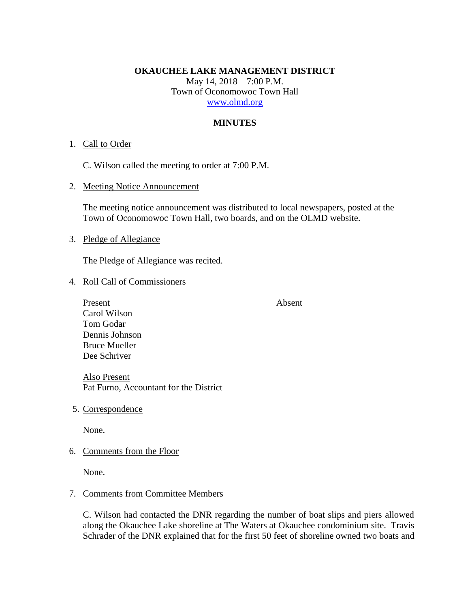### **OKAUCHEE LAKE MANAGEMENT DISTRICT**

May 14, 2018 – 7:00 P.M. Town of Oconomowoc Town Hall [www.olmd.org](http://www.olmd.org/)

### **MINUTES**

### 1. Call to Order

C. Wilson called the meeting to order at 7:00 P.M.

2. Meeting Notice Announcement

The meeting notice announcement was distributed to local newspapers, posted at the Town of Oconomowoc Town Hall, two boards, and on the OLMD website.

## 3. Pledge of Allegiance

The Pledge of Allegiance was recited.

- 4. Roll Call of Commissioners
	- Present Absent Carol Wilson Tom Godar Dennis Johnson Bruce Mueller Dee Schriver

Also Present Pat Furno, Accountant for the District

5. Correspondence

None.

6. Comments from the Floor

None.

# 7. Comments from Committee Members

C. Wilson had contacted the DNR regarding the number of boat slips and piers allowed along the Okauchee Lake shoreline at The Waters at Okauchee condominium site. Travis Schrader of the DNR explained that for the first 50 feet of shoreline owned two boats and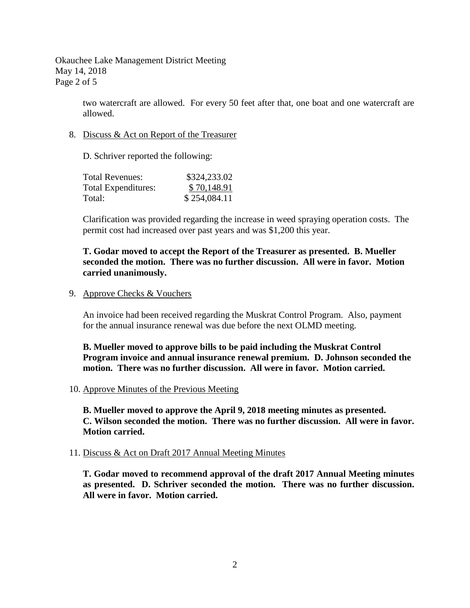Okauchee Lake Management District Meeting May 14, 2018 Page 2 of 5

> two watercraft are allowed. For every 50 feet after that, one boat and one watercraft are allowed.

8. Discuss & Act on Report of the Treasurer

D. Schriver reported the following:

| Total Revenues:     | \$324,233.02 |
|---------------------|--------------|
| Total Expenditures: | \$70,148.91  |
| Total:              | \$254,084.11 |

Clarification was provided regarding the increase in weed spraying operation costs. The permit cost had increased over past years and was \$1,200 this year.

# **T. Godar moved to accept the Report of the Treasurer as presented. B. Mueller seconded the motion. There was no further discussion. All were in favor. Motion carried unanimously.**

9. Approve Checks & Vouchers

An invoice had been received regarding the Muskrat Control Program. Also, payment for the annual insurance renewal was due before the next OLMD meeting.

**B. Mueller moved to approve bills to be paid including the Muskrat Control Program invoice and annual insurance renewal premium. D. Johnson seconded the motion. There was no further discussion. All were in favor. Motion carried.**

10. Approve Minutes of the Previous Meeting

**B. Mueller moved to approve the April 9, 2018 meeting minutes as presented. C. Wilson seconded the motion. There was no further discussion. All were in favor. Motion carried.**

### 11. Discuss & Act on Draft 2017 Annual Meeting Minutes

**T. Godar moved to recommend approval of the draft 2017 Annual Meeting minutes as presented. D. Schriver seconded the motion. There was no further discussion. All were in favor. Motion carried.**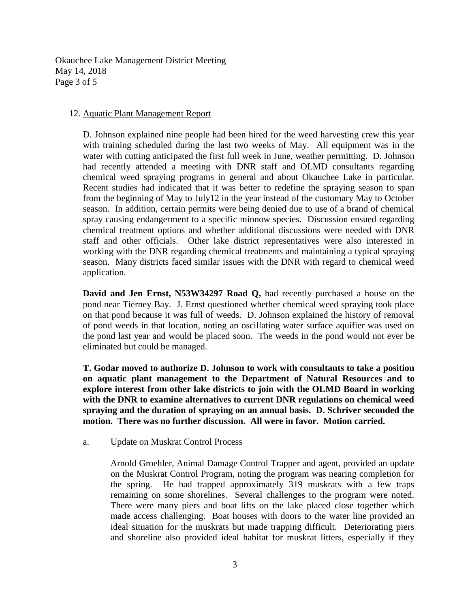Okauchee Lake Management District Meeting May 14, 2018 Page 3 of 5

## 12. Aquatic Plant Management Report

D. Johnson explained nine people had been hired for the weed harvesting crew this year with training scheduled during the last two weeks of May. All equipment was in the water with cutting anticipated the first full week in June, weather permitting. D. Johnson had recently attended a meeting with DNR staff and OLMD consultants regarding chemical weed spraying programs in general and about Okauchee Lake in particular. Recent studies had indicated that it was better to redefine the spraying season to span from the beginning of May to July12 in the year instead of the customary May to October season. In addition, certain permits were being denied due to use of a brand of chemical spray causing endangerment to a specific minnow species. Discussion ensued regarding chemical treatment options and whether additional discussions were needed with DNR staff and other officials. Other lake district representatives were also interested in working with the DNR regarding chemical treatments and maintaining a typical spraying season. Many districts faced similar issues with the DNR with regard to chemical weed application.

**David and Jen Ernst, N53W34297 Road Q,** had recently purchased a house on the pond near Tierney Bay. J. Ernst questioned whether chemical weed spraying took place on that pond because it was full of weeds. D. Johnson explained the history of removal of pond weeds in that location, noting an oscillating water surface aquifier was used on the pond last year and would be placed soon. The weeds in the pond would not ever be eliminated but could be managed.

**T. Godar moved to authorize D. Johnson to work with consultants to take a position on aquatic plant management to the Department of Natural Resources and to explore interest from other lake districts to join with the OLMD Board in working with the DNR to examine alternatives to current DNR regulations on chemical weed spraying and the duration of spraying on an annual basis. D. Schriver seconded the motion. There was no further discussion. All were in favor. Motion carried.**

a. Update on Muskrat Control Process

Arnold Groehler, Animal Damage Control Trapper and agent, provided an update on the Muskrat Control Program, noting the program was nearing completion for the spring. He had trapped approximately 319 muskrats with a few traps remaining on some shorelines. Several challenges to the program were noted. There were many piers and boat lifts on the lake placed close together which made access challenging. Boat houses with doors to the water line provided an ideal situation for the muskrats but made trapping difficult. Deteriorating piers and shoreline also provided ideal habitat for muskrat litters, especially if they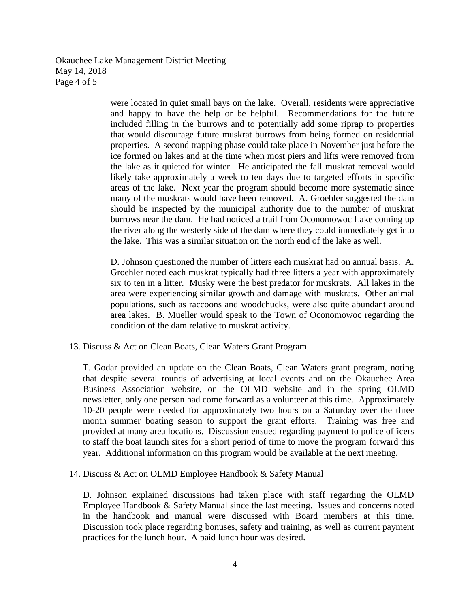Okauchee Lake Management District Meeting May 14, 2018 Page 4 of 5

> were located in quiet small bays on the lake. Overall, residents were appreciative and happy to have the help or be helpful. Recommendations for the future included filling in the burrows and to potentially add some riprap to properties that would discourage future muskrat burrows from being formed on residential properties. A second trapping phase could take place in November just before the ice formed on lakes and at the time when most piers and lifts were removed from the lake as it quieted for winter. He anticipated the fall muskrat removal would likely take approximately a week to ten days due to targeted efforts in specific areas of the lake. Next year the program should become more systematic since many of the muskrats would have been removed. A. Groehler suggested the dam should be inspected by the municipal authority due to the number of muskrat burrows near the dam. He had noticed a trail from Oconomowoc Lake coming up the river along the westerly side of the dam where they could immediately get into the lake. This was a similar situation on the north end of the lake as well.

> D. Johnson questioned the number of litters each muskrat had on annual basis. A. Groehler noted each muskrat typically had three litters a year with approximately six to ten in a litter. Musky were the best predator for muskrats. All lakes in the area were experiencing similar growth and damage with muskrats. Other animal populations, such as raccoons and woodchucks, were also quite abundant around area lakes. B. Mueller would speak to the Town of Oconomowoc regarding the condition of the dam relative to muskrat activity.

## 13. Discuss & Act on Clean Boats, Clean Waters Grant Program

T. Godar provided an update on the Clean Boats, Clean Waters grant program, noting that despite several rounds of advertising at local events and on the Okauchee Area Business Association website, on the OLMD website and in the spring OLMD newsletter, only one person had come forward as a volunteer at this time. Approximately 10-20 people were needed for approximately two hours on a Saturday over the three month summer boating season to support the grant efforts. Training was free and provided at many area locations. Discussion ensued regarding payment to police officers to staff the boat launch sites for a short period of time to move the program forward this year. Additional information on this program would be available at the next meeting.

### 14. Discuss & Act on OLMD Employee Handbook & Safety Manual

D. Johnson explained discussions had taken place with staff regarding the OLMD Employee Handbook & Safety Manual since the last meeting. Issues and concerns noted in the handbook and manual were discussed with Board members at this time. Discussion took place regarding bonuses, safety and training, as well as current payment practices for the lunch hour. A paid lunch hour was desired.